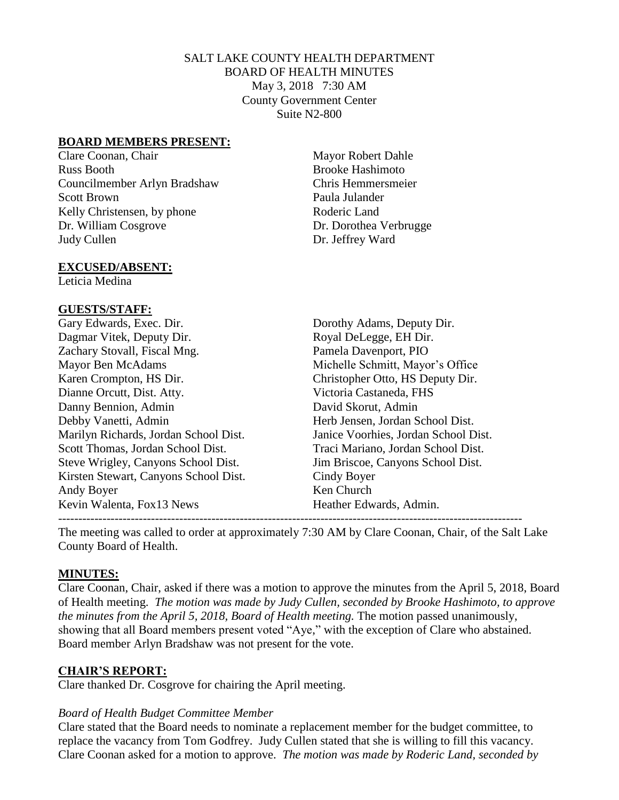### SALT LAKE COUNTY HEALTH DEPARTMENT BOARD OF HEALTH MINUTES May 3, 2018 7:30 AM County Government Center Suite N2-800

#### **BOARD MEMBERS PRESENT:**

Clare Coonan, Chair Mayor Robert Dahle Russ Booth Brooke Hashimoto Councilmember Arlyn Bradshaw Chris Hemmersmeier Scott Brown Paula Julander Kelly Christensen, by phone Roderic Land Dr. William Cosgrove Dr. Dorothea Verbrugge Judy Cullen Dr. Jeffrey Ward

#### **EXCUSED/ABSENT:**

Leticia Medina

#### **GUESTS/STAFF:**

Gary Edwards, Exec. Dir. Dorothy Adams, Deputy Dir. Dagmar Vitek, Deputy Dir. Royal DeLegge, EH Dir. Zachary Stovall, Fiscal Mng. Pamela Davenport, PIO Mayor Ben McAdams Michelle Schmitt, Mayor's Office Karen Crompton, HS Dir. Christopher Otto, HS Deputy Dir. Dianne Orcutt, Dist. Atty. Victoria Castaneda, FHS Danny Bennion, Admin David Skorut, Admin Debby Vanetti, Admin Herb Jensen, Jordan School Dist. Marilyn Richards, Jordan School Dist. Janice Voorhies, Jordan School Dist. Scott Thomas, Jordan School Dist. Traci Mariano, Jordan School Dist. Steve Wrigley, Canyons School Dist. Jim Briscoe, Canyons School Dist. Kirsten Stewart, Canyons School Dist. Cindy Boyer Andy Boyer Ken Church Kevin Walenta, Fox 13 News **Heather Edwards, Admin.** 

-------------------------------------------------------------------------------------------------------------------

The meeting was called to order at approximately 7:30 AM by Clare Coonan, Chair, of the Salt Lake County Board of Health.

# **MINUTES:**

Clare Coonan, Chair, asked if there was a motion to approve the minutes from the April 5, 2018, Board of Health meeting. *The motion was made by Judy Cullen, seconded by Brooke Hashimoto, to approve the minutes from the April 5, 2018, Board of Health meeting.* The motion passed unanimously, showing that all Board members present voted "Aye," with the exception of Clare who abstained. Board member Arlyn Bradshaw was not present for the vote.

# **CHAIR'S REPORT:**

Clare thanked Dr. Cosgrove for chairing the April meeting.

#### *Board of Health Budget Committee Member*

Clare stated that the Board needs to nominate a replacement member for the budget committee, to replace the vacancy from Tom Godfrey. Judy Cullen stated that she is willing to fill this vacancy. Clare Coonan asked for a motion to approve. *The motion was made by Roderic Land, seconded by*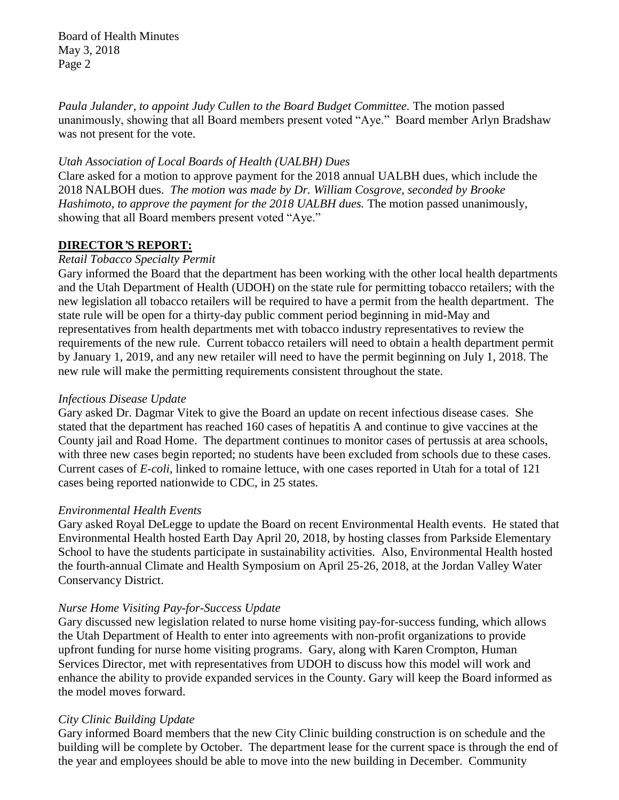*Paula Julander, to appoint Judy Cullen to the Board Budget Committee.* The motion passed unanimously, showing that all Board members present voted "Aye." Board member Arlyn Bradshaw was not present for the vote.

#### *Utah Association of Local Boards of Health (UALBH) Dues*

Clare asked for a motion to approve payment for the 2018 annual UALBH dues, which include the 2018 NALBOH dues. *The motion was made by Dr. William Cosgrove, seconded by Brooke Hashimoto, to approve the payment for the 2018 UALBH dues.* The motion passed unanimously, showing that all Board members present voted "Aye."

# **DIRECTOR***'***S REPORT:**

#### *Retail Tobacco Specialty Permit*

Gary informed the Board that the department has been working with the other local health departments and the Utah Department of Health (UDOH) on the state rule for permitting tobacco retailers; with the new legislation all tobacco retailers will be required to have a permit from the health department. The state rule will be open for a thirty-day public comment period beginning in mid-May and representatives from health departments met with tobacco industry representatives to review the requirements of the new rule. Current tobacco retailers will need to obtain a health department permit by January 1, 2019, and any new retailer will need to have the permit beginning on July 1, 2018. The new rule will make the permitting requirements consistent throughout the state.

#### *Infectious Disease Update*

Gary asked Dr. Dagmar Vitek to give the Board an update on recent infectious disease cases. She stated that the department has reached 160 cases of hepatitis A and continue to give vaccines at the County jail and Road Home. The department continues to monitor cases of pertussis at area schools, with three new cases begin reported; no students have been excluded from schools due to these cases. Current cases of *E-coli,* linked to romaine lettuce, with one cases reported in Utah for a total of 121 cases being reported nationwide to CDC, in 25 states.

#### *Environmental Health Events*

Gary asked Royal DeLegge to update the Board on recent Environmental Health events. He stated that Environmental Health hosted Earth Day April 20, 2018, by hosting classes from Parkside Elementary School to have the students participate in sustainability activities. Also, Environmental Health hosted the fourth-annual Climate and Health Symposium on April 25-26, 2018, at the Jordan Valley Water Conservancy District.

# *Nurse Home Visiting Pay-for-Success Update*

Gary discussed new legislation related to nurse home visiting pay-for-success funding, which allows the Utah Department of Health to enter into agreements with non-profit organizations to provide upfront funding for nurse home visiting programs. Gary, along with Karen Crompton, Human Services Director, met with representatives from UDOH to discuss how this model will work and enhance the ability to provide expanded services in the County. Gary will keep the Board informed as the model moves forward.

# *City Clinic Building Update*

Gary informed Board members that the new City Clinic building construction is on schedule and the building will be complete by October. The department lease for the current space is through the end of the year and employees should be able to move into the new building in December. Community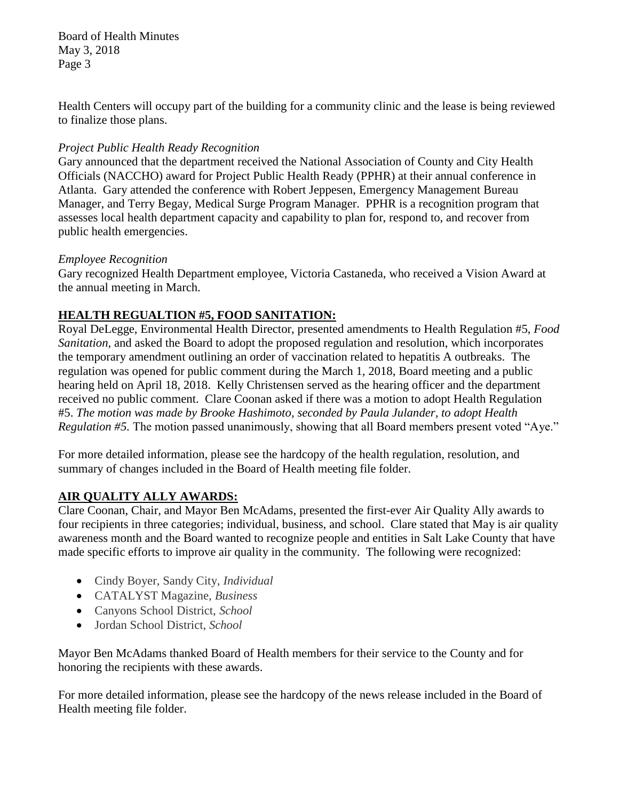Health Centers will occupy part of the building for a community clinic and the lease is being reviewed to finalize those plans.

# *Project Public Health Ready Recognition*

Gary announced that the department received the National Association of County and City Health Officials (NACCHO) award for Project Public Health Ready (PPHR) at their annual conference in Atlanta. Gary attended the conference with Robert Jeppesen, Emergency Management Bureau Manager, and Terry Begay, Medical Surge Program Manager. PPHR is a recognition program that assesses local health department capacity and capability to plan for, respond to, and recover from public health emergencies.

# *Employee Recognition*

Gary recognized Health Department employee, Victoria Castaneda, who received a Vision Award at the annual meeting in March.

# **HEALTH REGUALTION #5, FOOD SANITATION:**

Royal DeLegge, Environmental Health Director, presented amendments to Health Regulation #5, *Food Sanitation,* and asked the Board to adopt the proposed regulation and resolution, which incorporates the temporary amendment outlining an order of vaccination related to hepatitis A outbreaks. The regulation was opened for public comment during the March 1, 2018, Board meeting and a public hearing held on April 18, 2018. Kelly Christensen served as the hearing officer and the department received no public comment. Clare Coonan asked if there was a motion to adopt Health Regulation #5. *The motion was made by Brooke Hashimoto, seconded by Paula Julander, to adopt Health Regulation #5.* The motion passed unanimously, showing that all Board members present voted "Aye."

For more detailed information, please see the hardcopy of the health regulation, resolution, and summary of changes included in the Board of Health meeting file folder.

# **AIR QUALITY ALLY AWARDS:**

Clare Coonan, Chair, and Mayor Ben McAdams, presented the first-ever Air Quality Ally awards to four recipients in three categories; individual, business, and school. Clare stated that May is air quality awareness month and the Board wanted to recognize people and entities in Salt Lake County that have made specific efforts to improve air quality in the community. The following were recognized:

- Cindy Boyer, Sandy City, *Individual*
- CATALYST Magazine, *Business*
- Canyons School District, *School*
- Jordan School District, *School*

Mayor Ben McAdams thanked Board of Health members for their service to the County and for honoring the recipients with these awards.

For more detailed information, please see the hardcopy of the news release included in the Board of Health meeting file folder.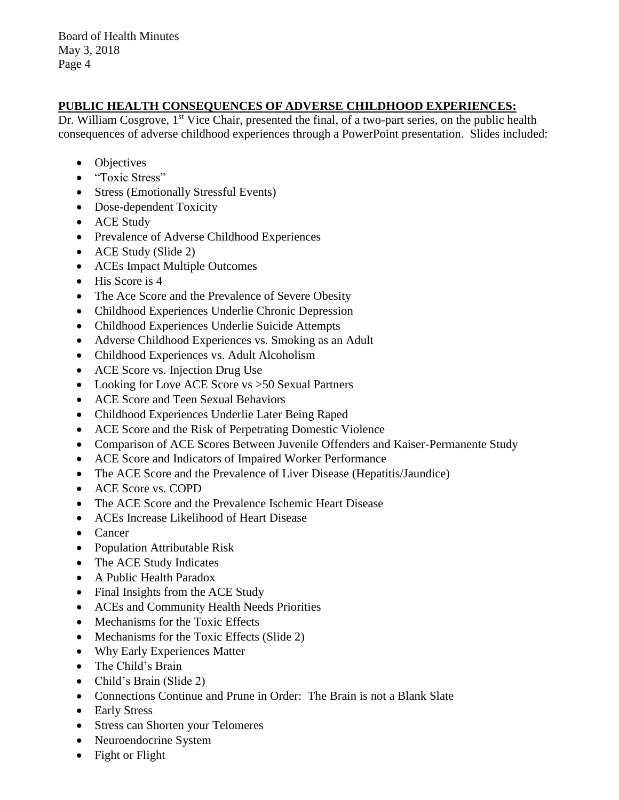# **PUBLIC HEALTH CONSEQUENCES OF ADVERSE CHILDHOOD EXPERIENCES:**

Dr. William Cosgrove, 1<sup>st</sup> Vice Chair, presented the final, of a two-part series, on the public health consequences of adverse childhood experiences through a PowerPoint presentation. Slides included:

- Objectives
- "Toxic Stress"
- Stress (Emotionally Stressful Events)
- Dose-dependent Toxicity
- ACE Study
- Prevalence of Adverse Childhood Experiences
- ACE Study (Slide 2)
- ACEs Impact Multiple Outcomes
- His Score is 4
- The Ace Score and the Prevalence of Severe Obesity
- Childhood Experiences Underlie Chronic Depression
- Childhood Experiences Underlie Suicide Attempts
- Adverse Childhood Experiences vs. Smoking as an Adult
- Childhood Experiences vs. Adult Alcoholism
- ACE Score vs. Injection Drug Use
- Looking for Love ACE Score vs > 50 Sexual Partners
- ACE Score and Teen Sexual Behaviors
- Childhood Experiences Underlie Later Being Raped
- ACE Score and the Risk of Perpetrating Domestic Violence
- Comparison of ACE Scores Between Juvenile Offenders and Kaiser-Permanente Study
- ACE Score and Indicators of Impaired Worker Performance
- The ACE Score and the Prevalence of Liver Disease (Hepatitis/Jaundice)
- ACE Score vs. COPD
- The ACE Score and the Prevalence Ischemic Heart Disease
- ACEs Increase Likelihood of Heart Disease
- Cancer
- Population Attributable Risk
- The ACE Study Indicates
- A Public Health Paradox
- Final Insights from the ACE Study
- ACEs and Community Health Needs Priorities
- Mechanisms for the Toxic Effects
- Mechanisms for the Toxic Effects (Slide 2)
- Why Early Experiences Matter
- The Child's Brain
- Child's Brain (Slide 2)
- Connections Continue and Prune in Order: The Brain is not a Blank Slate
- Early Stress
- Stress can Shorten your Telomeres
- Neuroendocrine System
- Fight or Flight